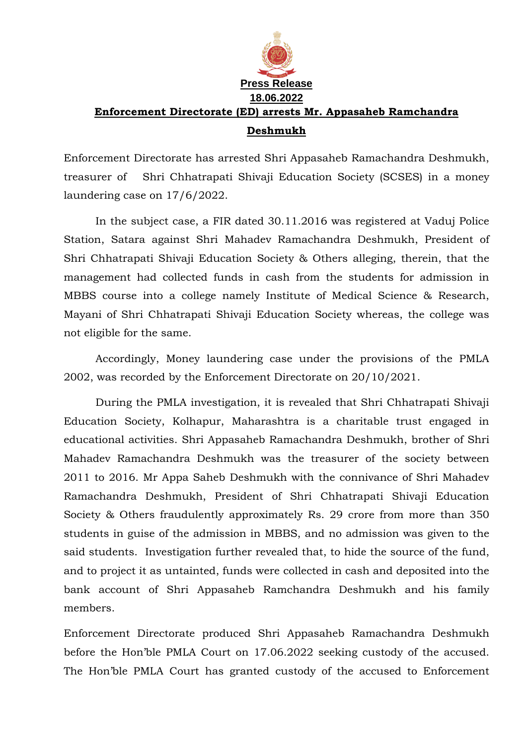

## **Enforcement Directorate (ED) arrests Mr. Appasaheb Ramchandra Deshmukh**

Enforcement Directorate has arrested Shri Appasaheb Ramachandra Deshmukh, treasurer of Shri Chhatrapati Shivaji Education Society (SCSES) in a money laundering case on 17/6/2022.

In the subject case, a FIR dated 30.11.2016 was registered at Vaduj Police Station, Satara against Shri Mahadev Ramachandra Deshmukh, President of Shri Chhatrapati Shivaji Education Society & Others alleging, therein, that the management had collected funds in cash from the students for admission in MBBS course into a college namely Institute of Medical Science & Research, Mayani of Shri Chhatrapati Shivaji Education Society whereas, the college was not eligible for the same.

Accordingly, Money laundering case under the provisions of the PMLA 2002, was recorded by the Enforcement Directorate on 20/10/2021.

During the PMLA investigation, it is revealed that Shri Chhatrapati Shivaji Education Society, Kolhapur, Maharashtra is a charitable trust engaged in educational activities. Shri Appasaheb Ramachandra Deshmukh, brother of Shri Mahadev Ramachandra Deshmukh was the treasurer of the society between 2011 to 2016. Mr Appa Saheb Deshmukh with the connivance of Shri Mahadev Ramachandra Deshmukh, President of Shri Chhatrapati Shivaji Education Society & Others fraudulently approximately Rs. 29 crore from more than 350 students in guise of the admission in MBBS, and no admission was given to the said students. Investigation further revealed that, to hide the source of the fund, and to project it as untainted, funds were collected in cash and deposited into the bank account of Shri Appasaheb Ramchandra Deshmukh and his family members.

Enforcement Directorate produced Shri Appasaheb Ramachandra Deshmukh before the Hon'ble PMLA Court on 17.06.2022 seeking custody of the accused. The Hon'ble PMLA Court has granted custody of the accused to Enforcement